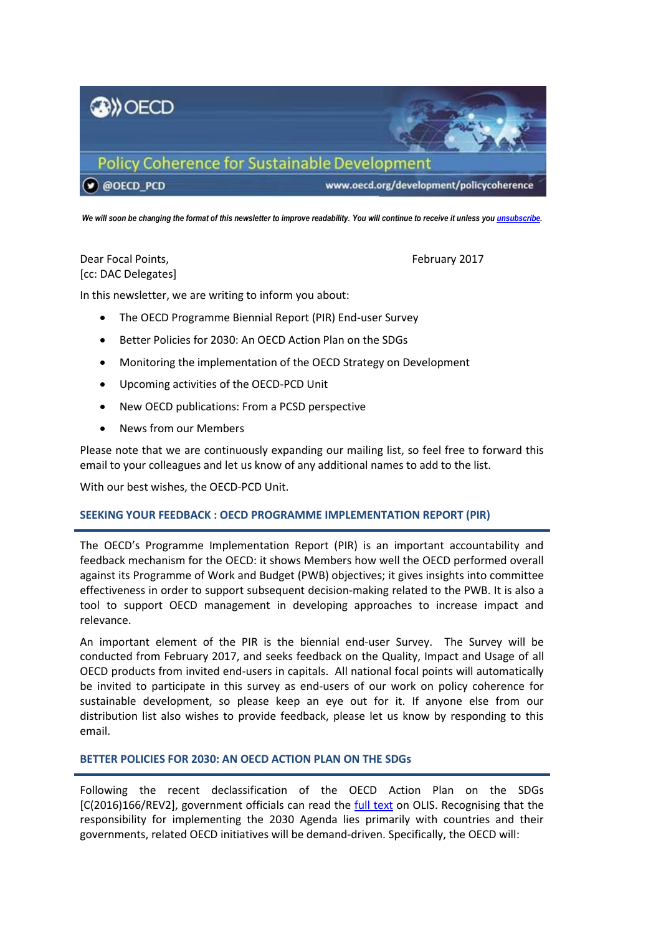

*We will soon be changing the format of this newsletter to improve readability. You will continue to receive it unless yo[u unsubscribe.](mailto:PCD.Contact@oecd.org)*

# Dear Focal Points, February 2017 [cc: DAC Delegates]

In this newsletter, we are writing to inform you about:

- The OECD Programme Biennial Report (PIR) End-user Survey
- Better Policies for 2030: An OECD Action Plan on the SDGs
- Monitoring the implementation of the OECD Strategy on Development
- Upcoming activities of the OECD-PCD Unit
- New OECD publications: From a PCSD perspective
- News from our Members

Please note that we are continuously expanding our mailing list, so feel free to forward this email to your colleagues and let us know of any additional names to add to the list.

With our best wishes, the OECD-PCD Unit.

# **SEEKING YOUR FEEDBACK : OECD PROGRAMME IMPLEMENTATION REPORT (PIR)**

The OECD's Programme Implementation Report (PIR) is an important accountability and feedback mechanism for the OECD: it shows Members how well the OECD performed overall against its Programme of Work and Budget (PWB) objectives; it gives insights into committee effectiveness in order to support subsequent decision-making related to the PWB. It is also a tool to support OECD management in developing approaches to increase impact and relevance.

An important element of the PIR is the biennial end-user Survey. The Survey will be conducted from February 2017, and seeks feedback on the Quality, Impact and Usage of all OECD products from invited end-users in capitals. All national focal points will automatically be invited to participate in this survey as end-users of our work on policy coherence for sustainable development, so please keep an eye out for it. If anyone else from our distribution list also wishes to provide feedback, please let us know by responding to this email.

# **BETTER POLICIES FOR 2030: AN OECD ACTION PLAN ON THE SDGs**

Following the recent declassification of the OECD Action Plan on the SDGs [C(2016)166/REV2], government officials can read the [full text](https://one.oecd.org/search/document.html?&doc_ref=C(2016)166/REV2&doc_lang=en) on OLIS. Recognising that the responsibility for implementing the 2030 Agenda lies primarily with countries and their governments, related OECD initiatives will be demand-driven. Specifically, the OECD will: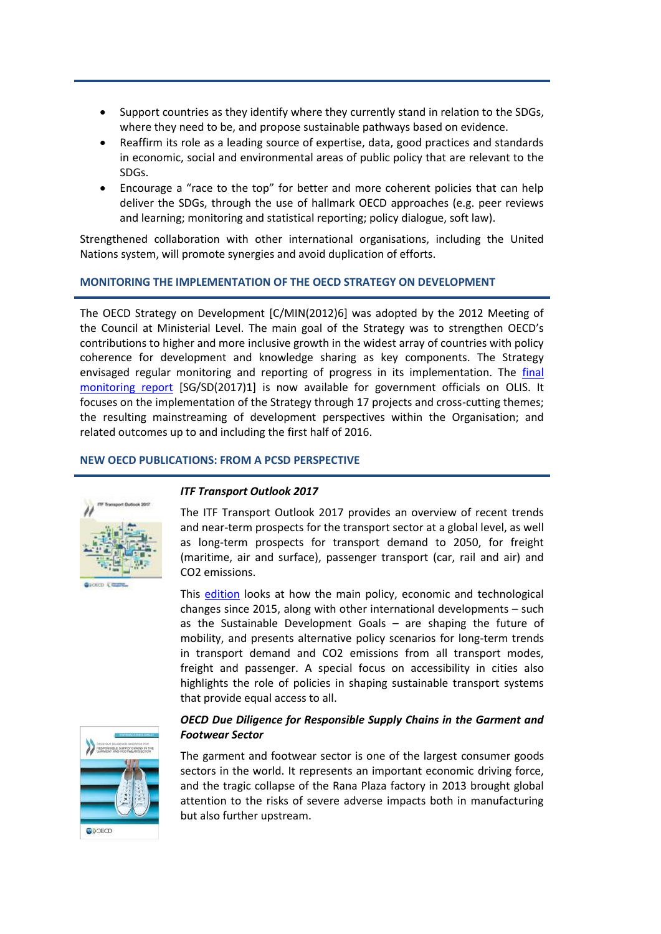- Support countries as they identify where they currently stand in relation to the SDGs, where they need to be, and propose sustainable pathways based on evidence.
- Reaffirm its role as a leading source of expertise, data, good practices and standards in economic, social and environmental areas of public policy that are relevant to the SDGs.
- Encourage a "race to the top" for better and more coherent policies that can help deliver the SDGs, through the use of hallmark OECD approaches (e.g. peer reviews and learning; monitoring and statistical reporting; policy dialogue, soft law).

Strengthened collaboration with other international organisations, including the United Nations system, will promote synergies and avoid duplication of efforts.

### **MONITORING THE IMPLEMENTATION OF THE OECD STRATEGY ON DEVELOPMENT**

The OECD Strategy on Development [C/MIN(2012)6] was adopted by the 2012 Meeting of the Council at Ministerial Level. The main goal of the Strategy was to strengthen OECD's contributions to higher and more inclusive growth in the widest array of countries with policy coherence for development and knowledge sharing as key components. The Strategy envisaged regular monitoring and reporting of progress in its implementation. The [final](https://one.oecd.org/search/document.html?&doc_ref=SG/SD(2017)1&doc_lang=en)  [monitoring report](https://one.oecd.org/search/document.html?&doc_ref=SG/SD(2017)1&doc_lang=en) [SG/SD(2017)1] is now available for government officials on OLIS. It focuses on the implementation of the Strategy through 17 projects and cross-cutting themes; the resulting mainstreaming of development perspectives within the Organisation; and related outcomes up to and including the first half of 2016.

### **NEW OECD PUBLICATIONS: FROM A PCSD PERSPECTIVE**



#### *ITF Transport Outlook 2017*

The ITF Transport Outlook 2017 provides an overview of recent trends and near-term prospects for the transport sector at a global level, as well as long-term prospects for transport demand to 2050, for freight (maritime, air and surface), passenger transport (car, rail and air) and CO2 emissions.

This [edition](http://www.itf-oecd.org/transport-outlook-2017) looks at how the main policy, economic and technological changes since 2015, along with other international developments – such as the Sustainable Development Goals – are shaping the future of mobility, and presents alternative policy scenarios for long-term trends in transport demand and CO2 emissions from all transport modes, freight and passenger. A special focus on accessibility in cities also highlights the role of policies in shaping sustainable transport systems that provide equal access to all.



# *OECD Due Diligence for Responsible Supply Chains in the Garment and Footwear Sector*

The garment and footwear sector is one of the largest consumer goods sectors in the world. It represents an important economic driving force, and the tragic collapse of the Rana Plaza factory in 2013 brought global attention to the risks of severe adverse impacts both in manufacturing but also further upstream.